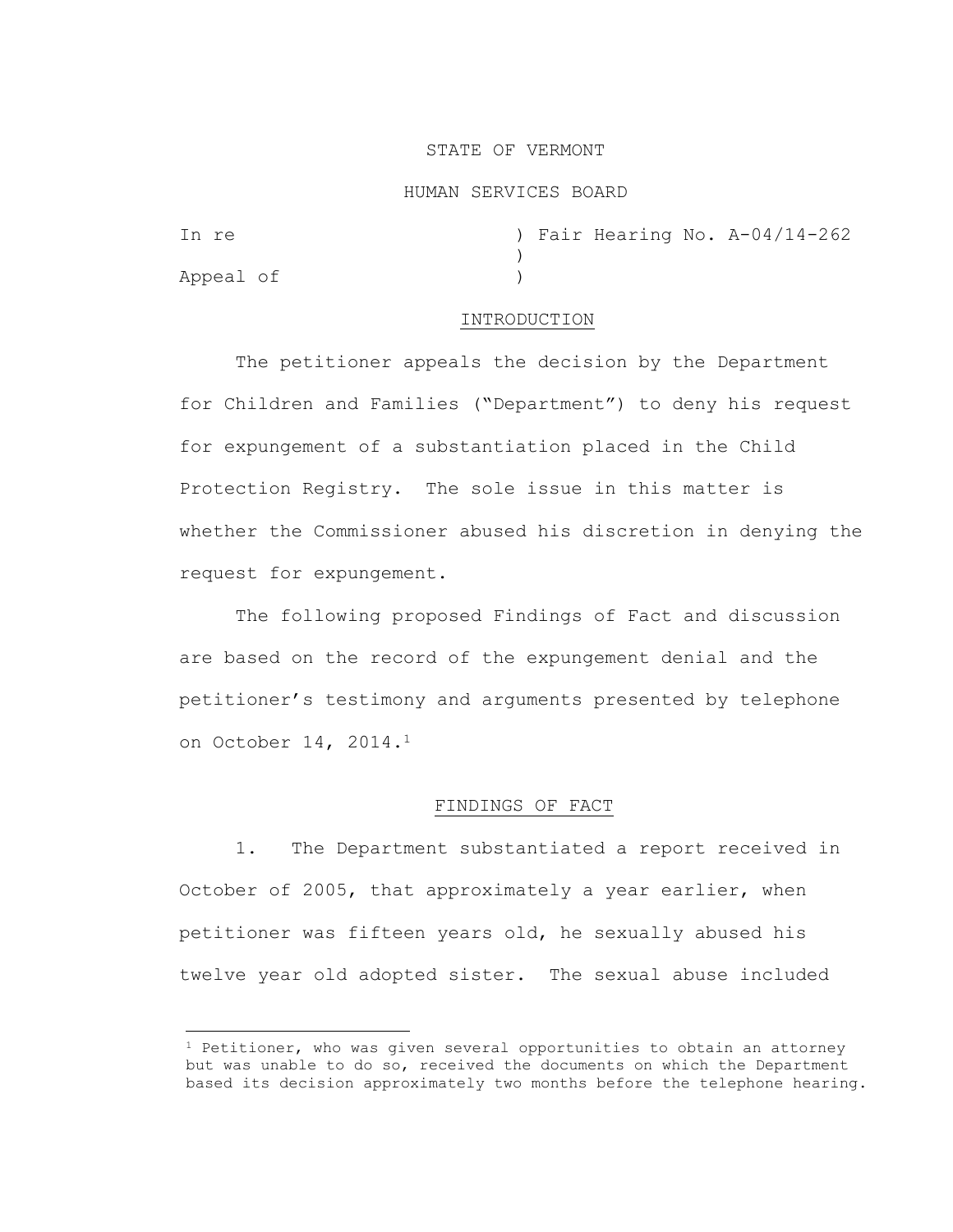## STATE OF VERMONT

#### HUMAN SERVICES BOARD

| In re     |  |  | ) Fair Hearing No. A-04/14-262 |
|-----------|--|--|--------------------------------|
|           |  |  |                                |
| Appeal of |  |  |                                |

### INTRODUCTION

The petitioner appeals the decision by the Department for Children and Families ("Department") to deny his request for expungement of a substantiation placed in the Child Protection Registry. The sole issue in this matter is whether the Commissioner abused his discretion in denying the request for expungement.

The following proposed Findings of Fact and discussion are based on the record of the expungement denial and the petitioner's testimony and arguments presented by telephone on October 14, 2014.<sup>1</sup>

# FINDINGS OF FACT

1. The Department substantiated a report received in October of 2005, that approximately a year earlier, when petitioner was fifteen years old, he sexually abused his twelve year old adopted sister. The sexual abuse included

 $1$  Petitioner, who was given several opportunities to obtain an attorney but was unable to do so, received the documents on which the Department based its decision approximately two months before the telephone hearing.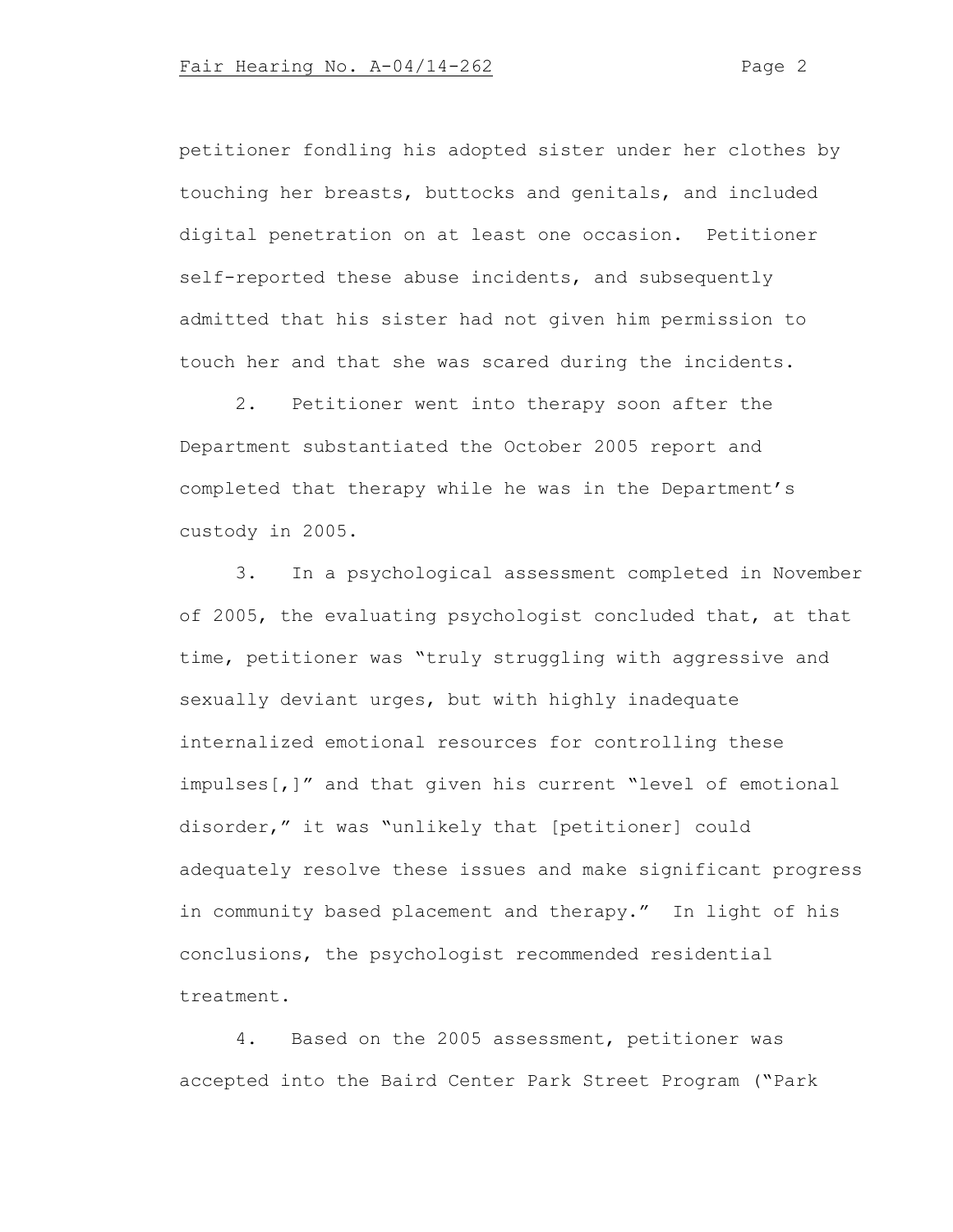petitioner fondling his adopted sister under her clothes by touching her breasts, buttocks and genitals, and included digital penetration on at least one occasion. Petitioner self-reported these abuse incidents, and subsequently admitted that his sister had not given him permission to touch her and that she was scared during the incidents.

2. Petitioner went into therapy soon after the Department substantiated the October 2005 report and completed that therapy while he was in the Department's custody in 2005.

3. In a psychological assessment completed in November of 2005, the evaluating psychologist concluded that, at that time, petitioner was "truly struggling with aggressive and sexually deviant urges, but with highly inadequate internalized emotional resources for controlling these impulses[,]" and that given his current "level of emotional disorder," it was "unlikely that [petitioner] could adequately resolve these issues and make significant progress in community based placement and therapy." In light of his conclusions, the psychologist recommended residential treatment.

4. Based on the 2005 assessment, petitioner was accepted into the Baird Center Park Street Program ("Park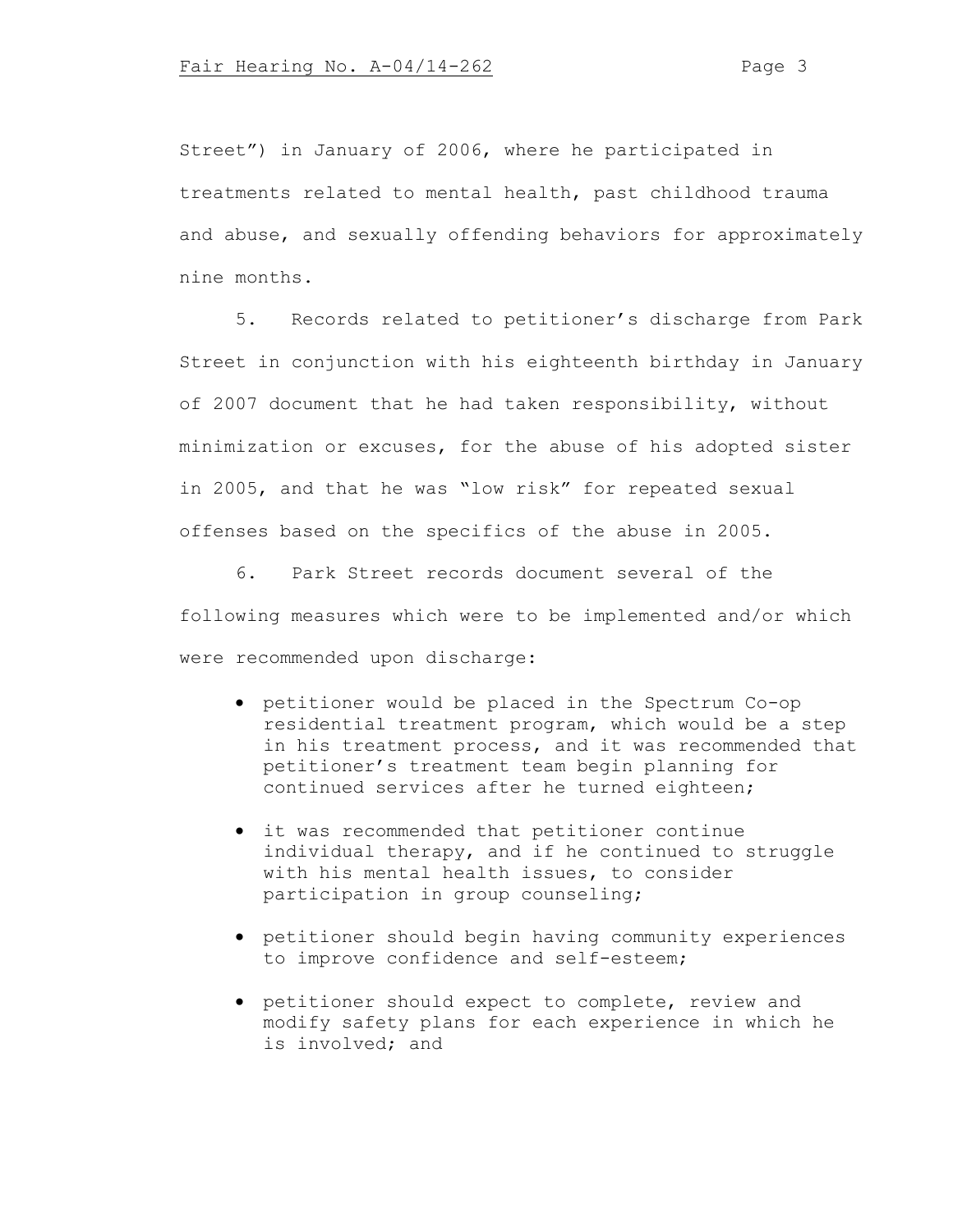Street") in January of 2006, where he participated in treatments related to mental health, past childhood trauma and abuse, and sexually offending behaviors for approximately nine months.

5. Records related to petitioner's discharge from Park Street in conjunction with his eighteenth birthday in January of 2007 document that he had taken responsibility, without minimization or excuses, for the abuse of his adopted sister in 2005, and that he was "low risk" for repeated sexual offenses based on the specifics of the abuse in 2005.

6. Park Street records document several of the following measures which were to be implemented and/or which were recommended upon discharge:

- petitioner would be placed in the Spectrum Co-op residential treatment program, which would be a step in his treatment process, and it was recommended that petitioner's treatment team begin planning for continued services after he turned eighteen;
- it was recommended that petitioner continue individual therapy, and if he continued to struggle with his mental health issues, to consider participation in group counseling;
- petitioner should begin having community experiences to improve confidence and self-esteem;
- petitioner should expect to complete, review and modify safety plans for each experience in which he is involved; and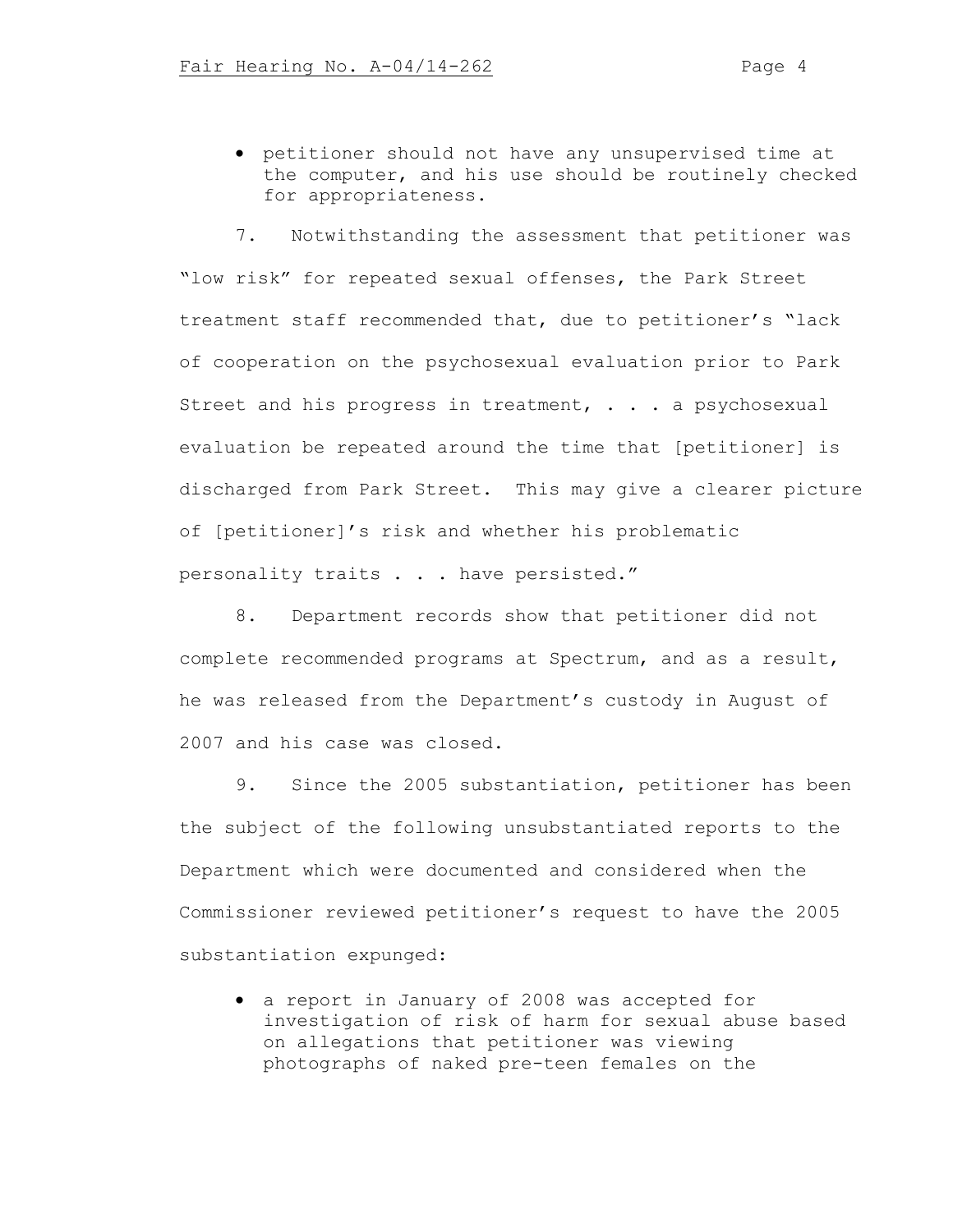• petitioner should not have any unsupervised time at the computer, and his use should be routinely checked for appropriateness.

7. Notwithstanding the assessment that petitioner was "low risk" for repeated sexual offenses, the Park Street treatment staff recommended that, due to petitioner's "lack of cooperation on the psychosexual evaluation prior to Park Street and his progress in treatment, . . . a psychosexual evaluation be repeated around the time that [petitioner] is discharged from Park Street. This may give a clearer picture of [petitioner]'s risk and whether his problematic personality traits . . . have persisted."

8. Department records show that petitioner did not complete recommended programs at Spectrum, and as a result, he was released from the Department's custody in August of 2007 and his case was closed.

9. Since the 2005 substantiation, petitioner has been the subject of the following unsubstantiated reports to the Department which were documented and considered when the Commissioner reviewed petitioner's request to have the 2005 substantiation expunged:

• a report in January of 2008 was accepted for investigation of risk of harm for sexual abuse based on allegations that petitioner was viewing photographs of naked pre-teen females on the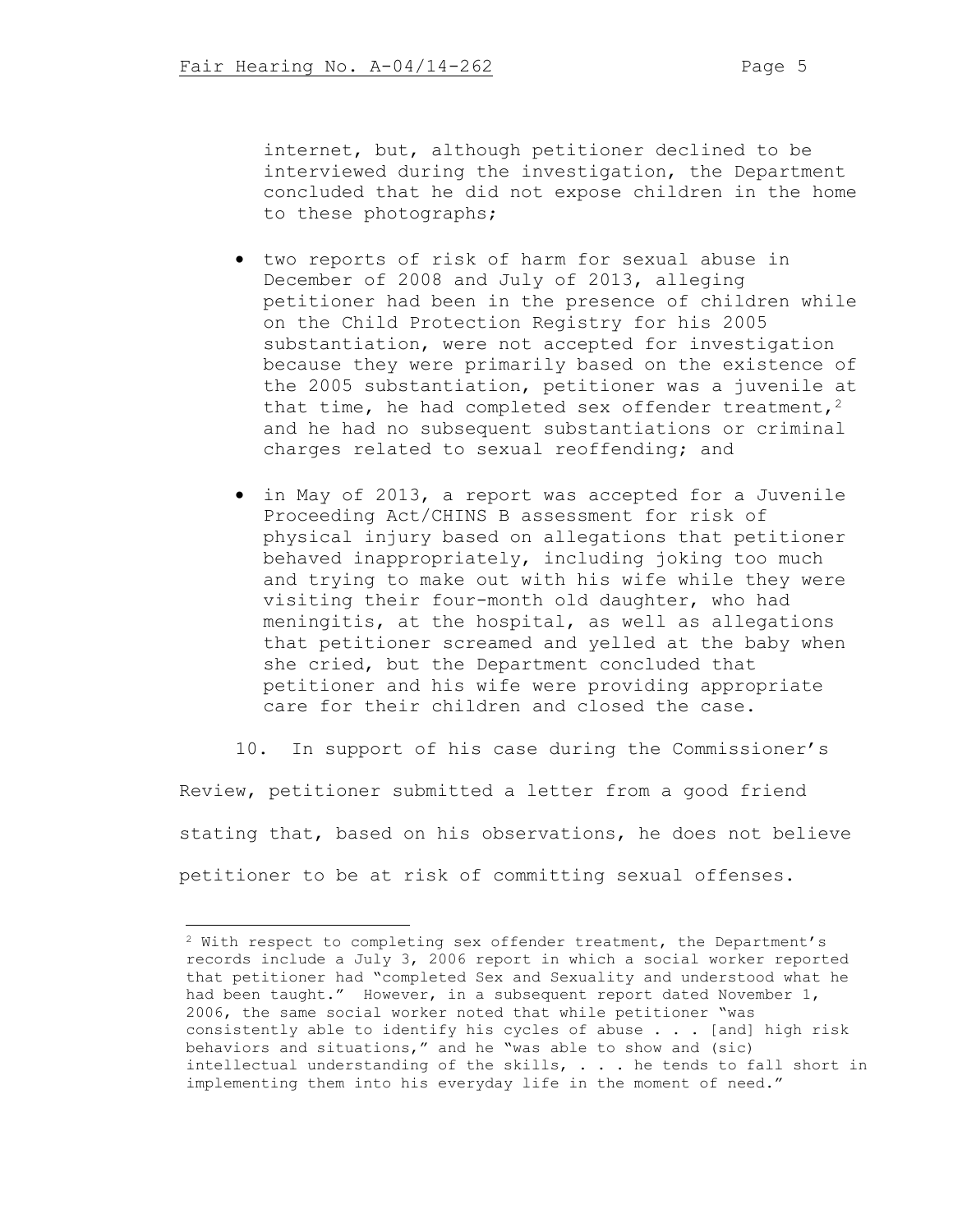internet, but, although petitioner declined to be interviewed during the investigation, the Department concluded that he did not expose children in the home to these photographs;

- two reports of risk of harm for sexual abuse in December of 2008 and July of 2013, alleging petitioner had been in the presence of children while on the Child Protection Registry for his 2005 substantiation, were not accepted for investigation because they were primarily based on the existence of the 2005 substantiation, petitioner was a juvenile at that time, he had completed sex offender treatment,  $2$ and he had no subsequent substantiations or criminal charges related to sexual reoffending; and
- in May of 2013, a report was accepted for a Juvenile Proceeding Act/CHINS B assessment for risk of physical injury based on allegations that petitioner behaved inappropriately, including joking too much and trying to make out with his wife while they were visiting their four-month old daughter, who had meningitis, at the hospital, as well as allegations that petitioner screamed and yelled at the baby when she cried, but the Department concluded that petitioner and his wife were providing appropriate care for their children and closed the case.
- 10. In support of his case during the Commissioner's

Review, petitioner submitted a letter from a good friend stating that, based on his observations, he does not believe petitioner to be at risk of committing sexual offenses.

<sup>2</sup> With respect to completing sex offender treatment, the Department's records include a July 3, 2006 report in which a social worker reported that petitioner had "completed Sex and Sexuality and understood what he had been taught." However, in a subsequent report dated November 1, 2006, the same social worker noted that while petitioner "was consistently able to identify his cycles of abuse . . . [and] high risk behaviors and situations," and he "was able to show and (sic) intellectual understanding of the skills, . . . he tends to fall short in implementing them into his everyday life in the moment of need."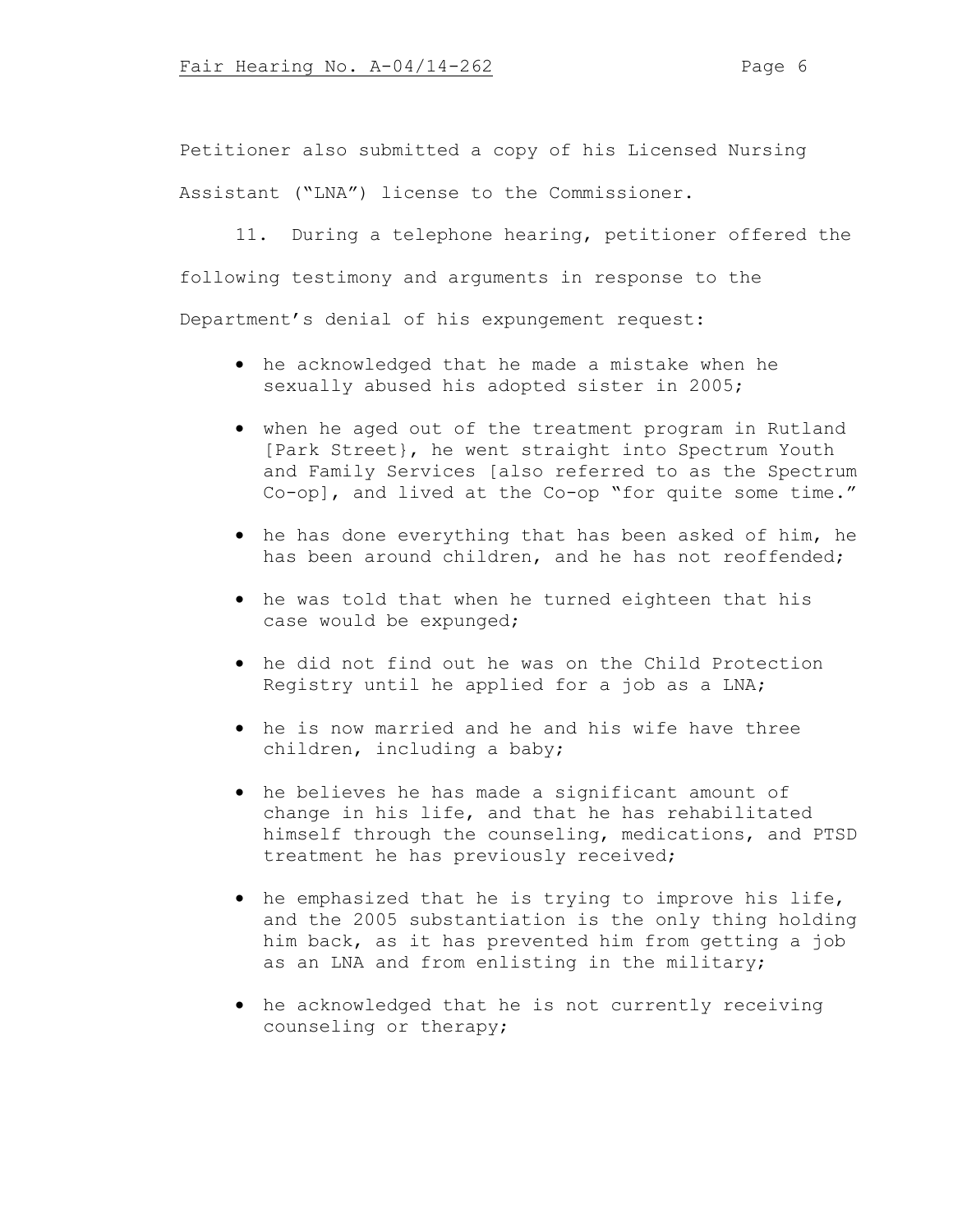Petitioner also submitted a copy of his Licensed Nursing

Assistant ("LNA") license to the Commissioner.

11. During a telephone hearing, petitioner offered the following testimony and arguments in response to the Department's denial of his expungement request:

- he acknowledged that he made a mistake when he sexually abused his adopted sister in 2005;
- when he aged out of the treatment program in Rutland [Park Street}, he went straight into Spectrum Youth and Family Services [also referred to as the Spectrum Co-op], and lived at the Co-op "for quite some time."
- he has done everything that has been asked of him, he has been around children, and he has not reoffended;
- he was told that when he turned eighteen that his case would be expunged;
- he did not find out he was on the Child Protection Registry until he applied for a job as a LNA;
- he is now married and he and his wife have three children, including a baby;
- he believes he has made a significant amount of change in his life, and that he has rehabilitated himself through the counseling, medications, and PTSD treatment he has previously received;
- he emphasized that he is trying to improve his life, and the 2005 substantiation is the only thing holding him back, as it has prevented him from getting a job as an LNA and from enlisting in the military;
- he acknowledged that he is not currently receiving counseling or therapy;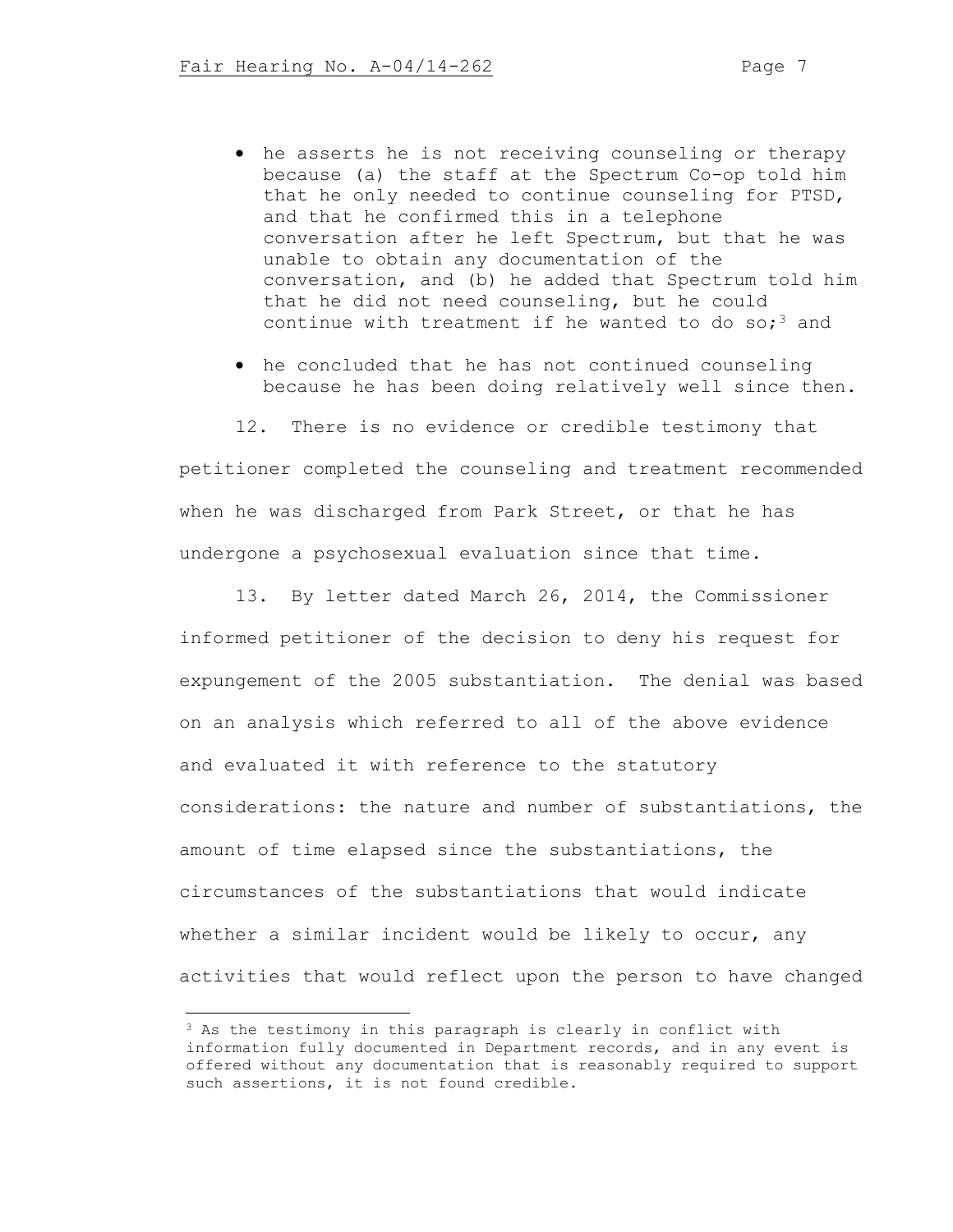- he asserts he is not receiving counseling or therapy because (a) the staff at the Spectrum Co-op told him that he only needed to continue counseling for PTSD, and that he confirmed this in a telephone conversation after he left Spectrum, but that he was unable to obtain any documentation of the conversation, and (b) he added that Spectrum told him that he did not need counseling, but he could continue with treatment if he wanted to do so;<sup>3</sup> and
- he concluded that he has not continued counseling because he has been doing relatively well since then.

12. There is no evidence or credible testimony that petitioner completed the counseling and treatment recommended when he was discharged from Park Street, or that he has undergone a psychosexual evaluation since that time.

13. By letter dated March 26, 2014, the Commissioner informed petitioner of the decision to deny his request for expungement of the 2005 substantiation. The denial was based on an analysis which referred to all of the above evidence and evaluated it with reference to the statutory considerations: the nature and number of substantiations, the amount of time elapsed since the substantiations, the circumstances of the substantiations that would indicate whether a similar incident would be likely to occur, any activities that would reflect upon the person to have changed

<sup>&</sup>lt;sup>3</sup> As the testimony in this paragraph is clearly in conflict with information fully documented in Department records, and in any event is offered without any documentation that is reasonably required to support such assertions, it is not found credible.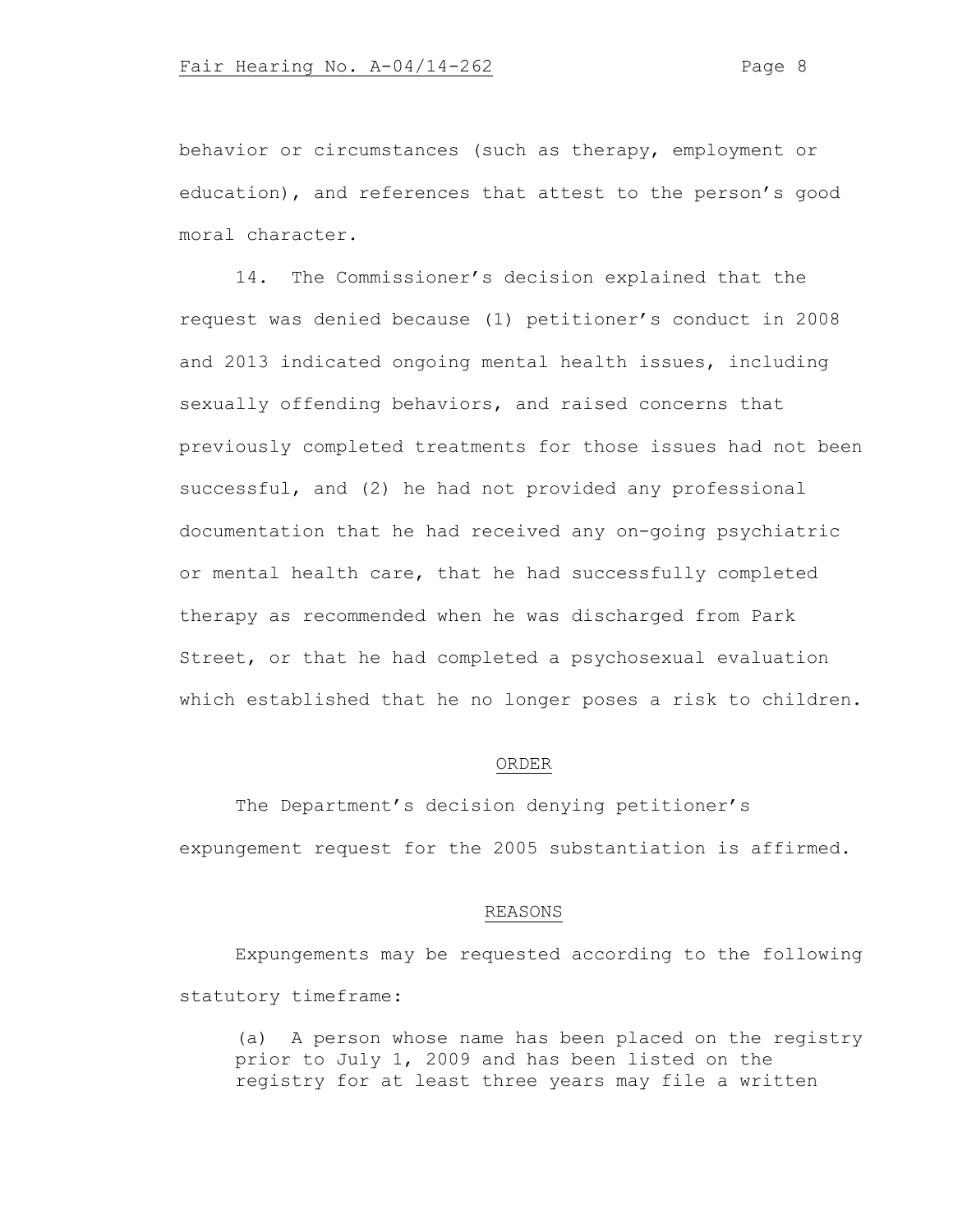behavior or circumstances (such as therapy, employment or education), and references that attest to the person's good moral character.

14. The Commissioner's decision explained that the request was denied because (1) petitioner's conduct in 2008 and 2013 indicated ongoing mental health issues, including sexually offending behaviors, and raised concerns that previously completed treatments for those issues had not been successful, and (2) he had not provided any professional documentation that he had received any on-going psychiatric or mental health care, that he had successfully completed therapy as recommended when he was discharged from Park Street, or that he had completed a psychosexual evaluation which established that he no longer poses a risk to children.

### ORDER

The Department's decision denying petitioner's expungement request for the 2005 substantiation is affirmed.

### REASONS

Expungements may be requested according to the following statutory timeframe:

(a) A person whose name has been placed on the registry prior to July 1, 2009 and has been listed on the registry for at least three years may file a written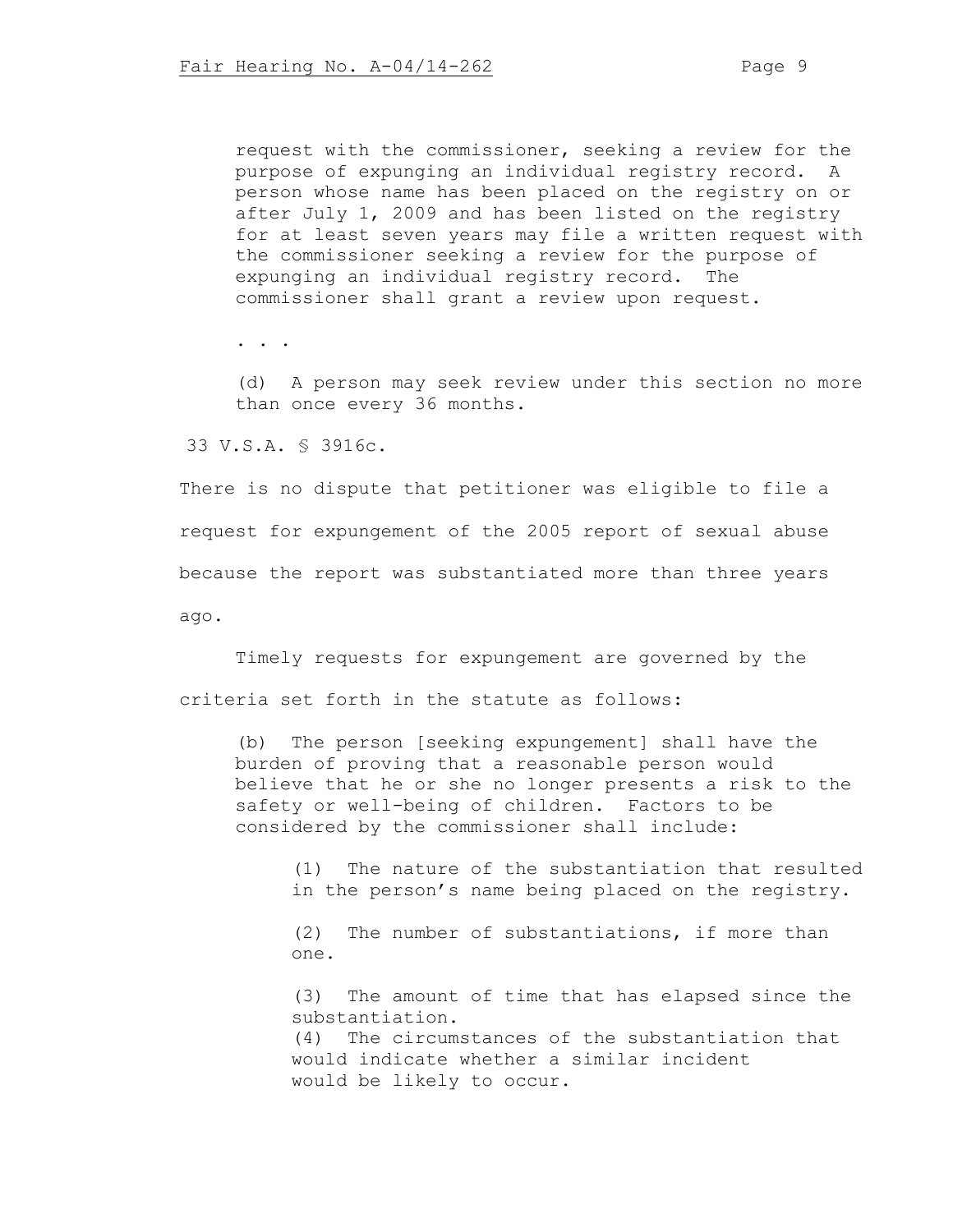request with the commissioner, seeking a review for the purpose of expunging an individual registry record. A person whose name has been placed on the registry on or after July 1, 2009 and has been listed on the registry for at least seven years may file a written request with the commissioner seeking a review for the purpose of expunging an individual registry record. The commissioner shall grant a review upon request.

. . .

(d) A person may seek review under this section no more than once every 36 months.

33 V.S.A. § 3916c.

There is no dispute that petitioner was eligible to file a request for expungement of the 2005 report of sexual abuse because the report was substantiated more than three years ago.

Timely requests for expungement are governed by the criteria set forth in the statute as follows:

(b) The person [seeking expungement] shall have the burden of proving that a reasonable person would believe that he or she no longer presents a risk to the safety or well-being of children. Factors to be considered by the commissioner shall include:

(1) The nature of the substantiation that resulted in the person's name being placed on the registry.

(2) The number of substantiations, if more than one.

(3) The amount of time that has elapsed since the substantiation. (4) The circumstances of the substantiation that would indicate whether a similar incident would be likely to occur.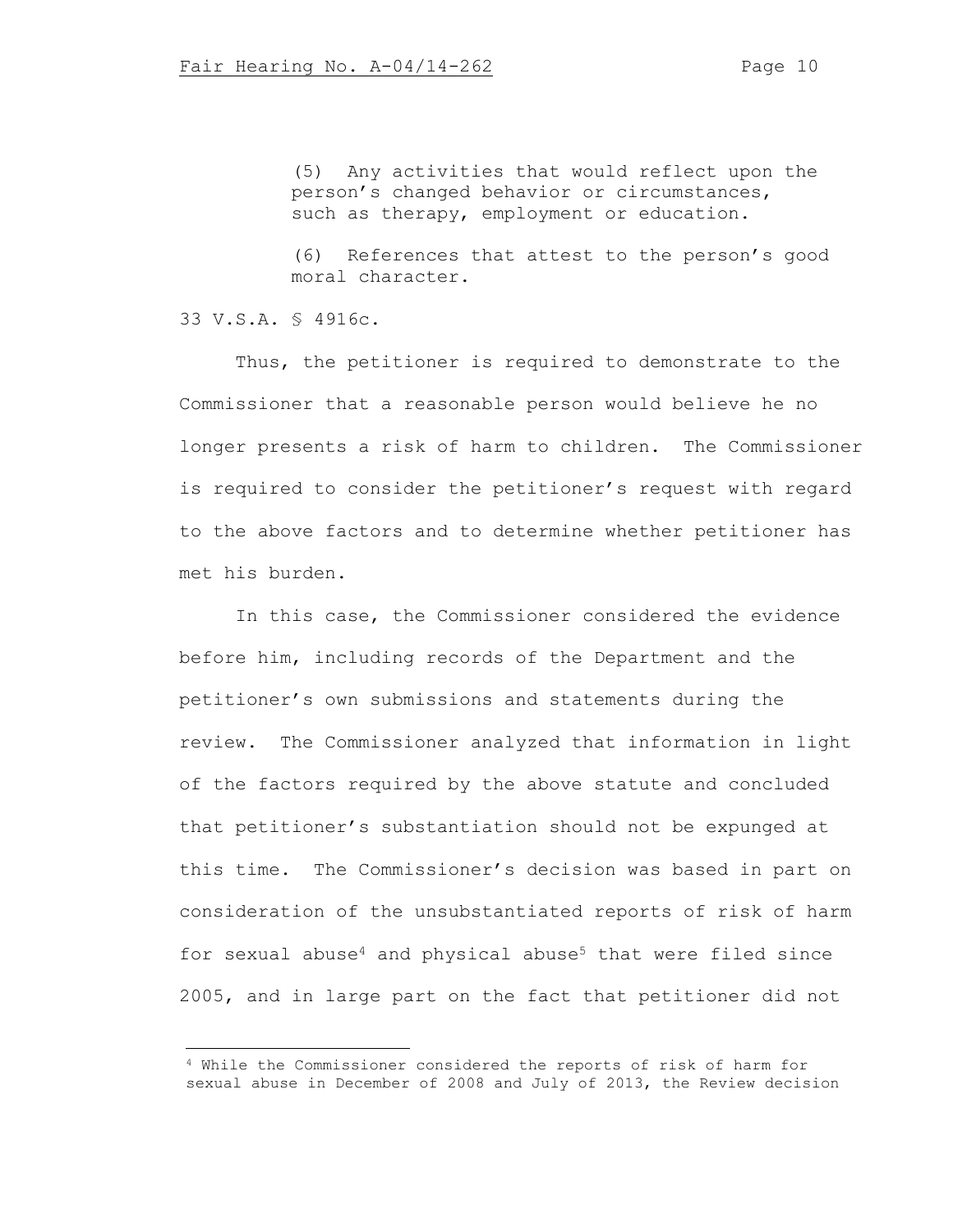(5) Any activities that would reflect upon the person's changed behavior or circumstances, such as therapy, employment or education.

(6) References that attest to the person's good moral character.

33 V.S.A. § 4916c.

Thus, the petitioner is required to demonstrate to the Commissioner that a reasonable person would believe he no longer presents a risk of harm to children. The Commissioner is required to consider the petitioner's request with regard to the above factors and to determine whether petitioner has met his burden.

In this case, the Commissioner considered the evidence before him, including records of the Department and the petitioner's own submissions and statements during the review. The Commissioner analyzed that information in light of the factors required by the above statute and concluded that petitioner's substantiation should not be expunged at this time. The Commissioner's decision was based in part on consideration of the unsubstantiated reports of risk of harm for sexual abuse<sup>4</sup> and physical abuse<sup>5</sup> that were filed since 2005, and in large part on the fact that petitioner did not

<sup>4</sup> While the Commissioner considered the reports of risk of harm for sexual abuse in December of 2008 and July of 2013, the Review decision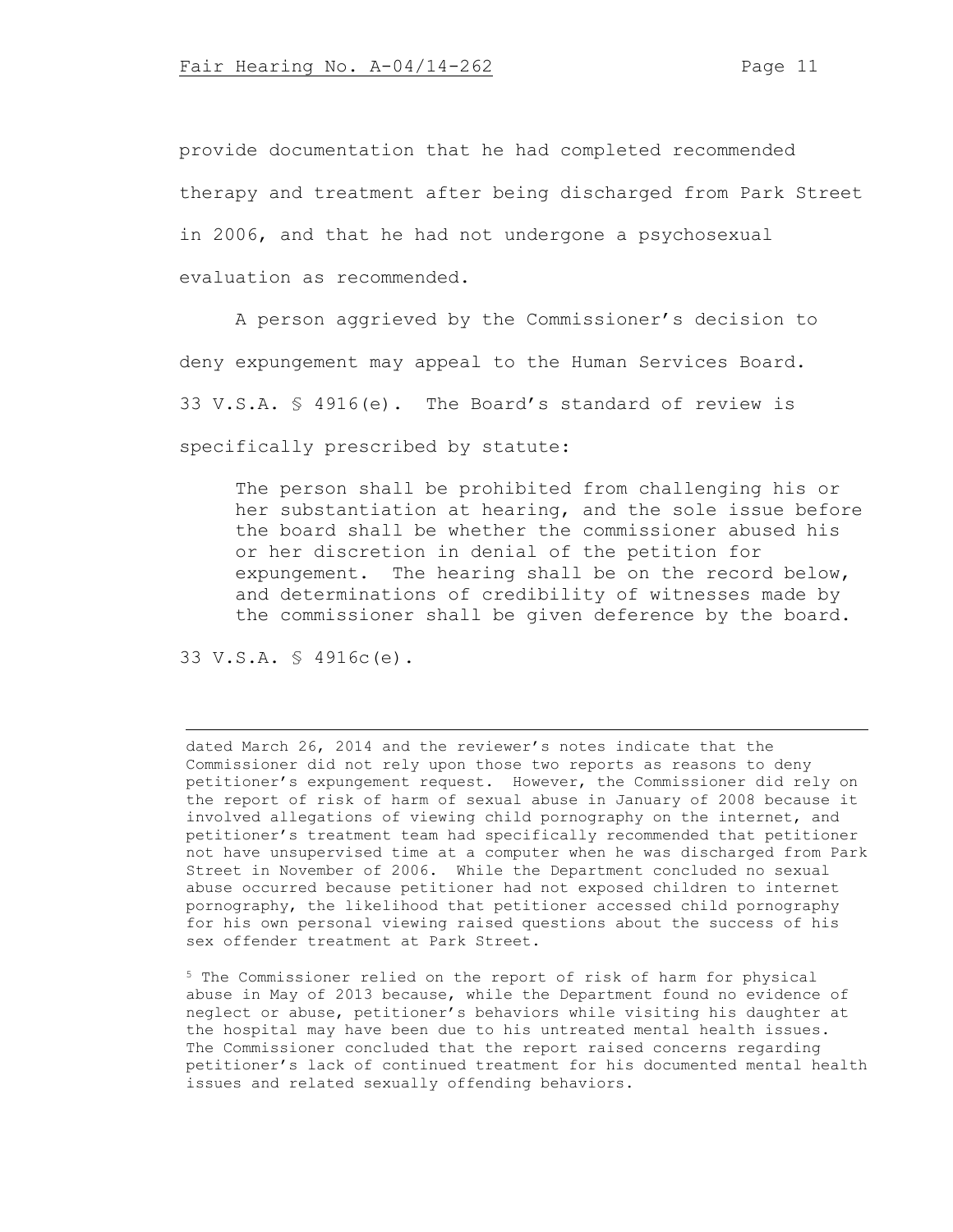provide documentation that he had completed recommended therapy and treatment after being discharged from Park Street in 2006, and that he had not undergone a psychosexual evaluation as recommended.

A person aggrieved by the Commissioner's decision to deny expungement may appeal to the Human Services Board. 33 V.S.A. § 4916(e). The Board's standard of review is specifically prescribed by statute:

The person shall be prohibited from challenging his or her substantiation at hearing, and the sole issue before the board shall be whether the commissioner abused his or her discretion in denial of the petition for expungement. The hearing shall be on the record below, and determinations of credibility of witnesses made by the commissioner shall be given deference by the board.

33 V.S.A. § 4916c(e).

dated March 26, 2014 and the reviewer's notes indicate that the Commissioner did not rely upon those two reports as reasons to deny petitioner's expungement request. However, the Commissioner did rely on the report of risk of harm of sexual abuse in January of 2008 because it involved allegations of viewing child pornography on the internet, and petitioner's treatment team had specifically recommended that petitioner not have unsupervised time at a computer when he was discharged from Park Street in November of 2006. While the Department concluded no sexual abuse occurred because petitioner had not exposed children to internet pornography, the likelihood that petitioner accessed child pornography for his own personal viewing raised questions about the success of his sex offender treatment at Park Street.

<sup>5</sup> The Commissioner relied on the report of risk of harm for physical abuse in May of 2013 because, while the Department found no evidence of neglect or abuse, petitioner's behaviors while visiting his daughter at the hospital may have been due to his untreated mental health issues. The Commissioner concluded that the report raised concerns regarding petitioner's lack of continued treatment for his documented mental health issues and related sexually offending behaviors.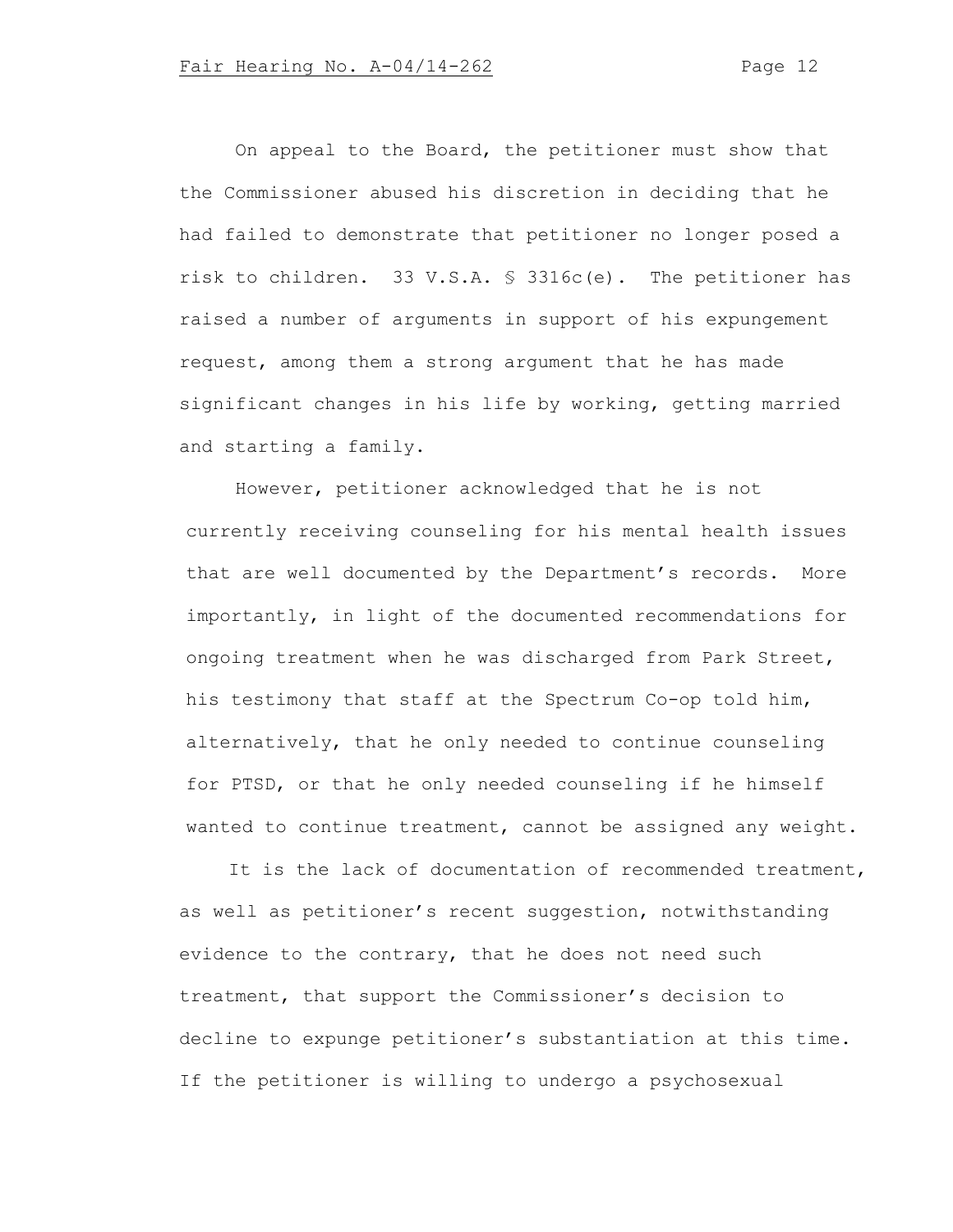On appeal to the Board, the petitioner must show that the Commissioner abused his discretion in deciding that he had failed to demonstrate that petitioner no longer posed a risk to children. 33 V.S.A. § 3316c(e). The petitioner has raised a number of arguments in support of his expungement request, among them a strong argument that he has made significant changes in his life by working, getting married and starting a family.

However, petitioner acknowledged that he is not currently receiving counseling for his mental health issues that are well documented by the Department's records. More importantly, in light of the documented recommendations for ongoing treatment when he was discharged from Park Street, his testimony that staff at the Spectrum Co-op told him, alternatively, that he only needed to continue counseling for PTSD, or that he only needed counseling if he himself wanted to continue treatment, cannot be assigned any weight.

It is the lack of documentation of recommended treatment, as well as petitioner's recent suggestion, notwithstanding evidence to the contrary, that he does not need such treatment, that support the Commissioner's decision to decline to expunge petitioner's substantiation at this time. If the petitioner is willing to undergo a psychosexual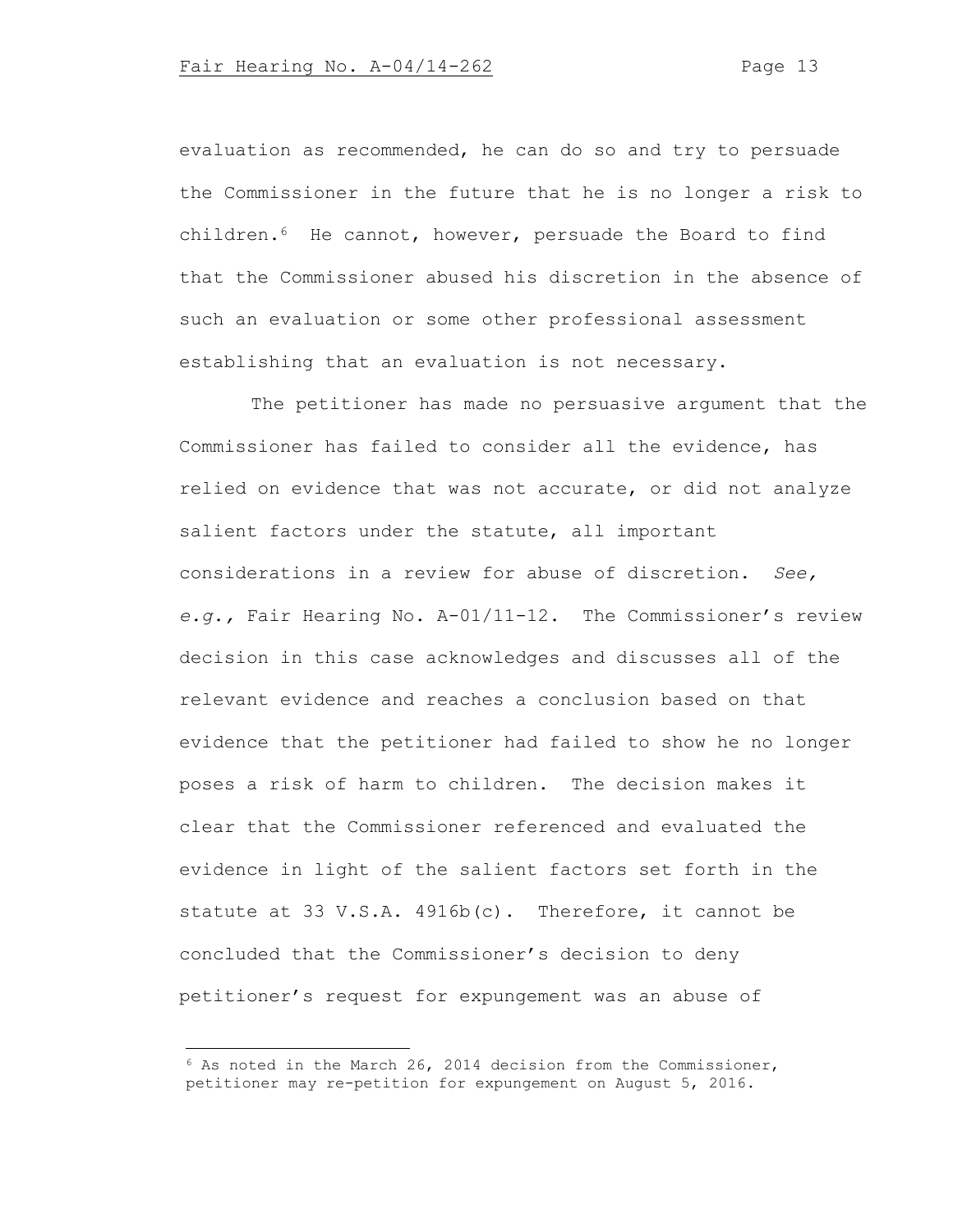evaluation as recommended, he can do so and try to persuade the Commissioner in the future that he is no longer a risk to children.6 He cannot, however, persuade the Board to find that the Commissioner abused his discretion in the absence of such an evaluation or some other professional assessment establishing that an evaluation is not necessary.

 The petitioner has made no persuasive argument that the Commissioner has failed to consider all the evidence, has relied on evidence that was not accurate, or did not analyze salient factors under the statute, all important considerations in a review for abuse of discretion. *See, e.g.,* Fair Hearing No. A-01/11-12. The Commissioner's review decision in this case acknowledges and discusses all of the relevant evidence and reaches a conclusion based on that evidence that the petitioner had failed to show he no longer poses a risk of harm to children. The decision makes it clear that the Commissioner referenced and evaluated the evidence in light of the salient factors set forth in the statute at 33 V.S.A. 4916b(c). Therefore, it cannot be concluded that the Commissioner's decision to deny petitioner's request for expungement was an abuse of

 $6$  As noted in the March 26, 2014 decision from the Commissioner, petitioner may re-petition for expungement on August 5, 2016.